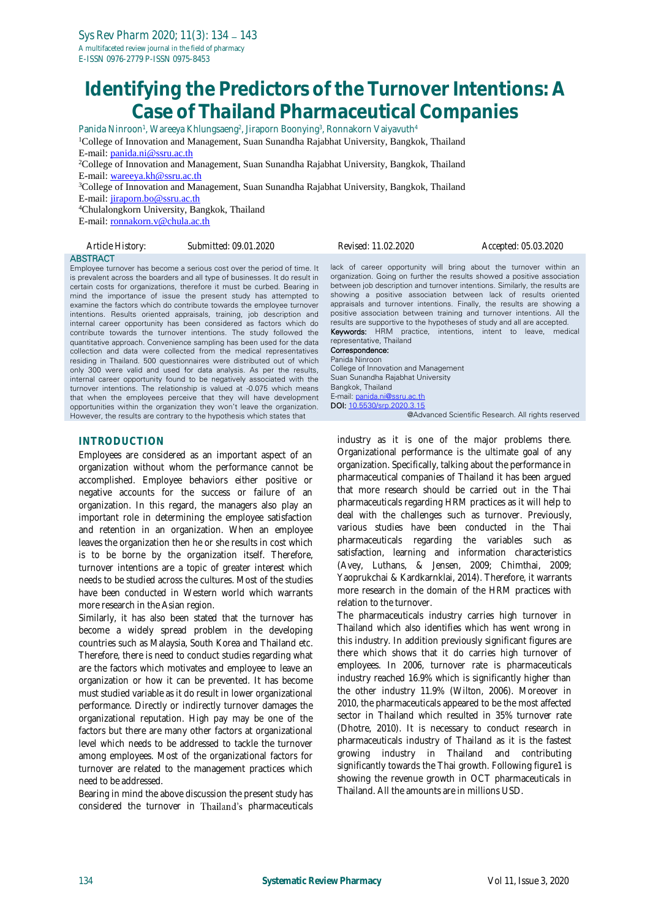# **Identifying the Predictors of the Turnover Intentions: A Case of Thailand Pharmaceutical Companies**

Panida Ninroon<sup>1</sup>, Wareeya Khlungsaeng<sup>2</sup>, Jiraporn Boonying<sup>3</sup>, Ronnakorn Vaiyavuth<sup>4</sup> <sup>1</sup>College of Innovation and Management, Suan Sunandha Rajabhat University, Bangkok, Thailand E-mail: [panida.ni@ssru.ac.th](mailto:panida.ni@ssru.ac.th) <sup>2</sup>College of Innovation and Management, Suan Sunandha Rajabhat University, Bangkok, Thailand E-mail: [wareeya.kh@ssru.ac.th](mailto:wareeya.kh@ssru.ac.th) <sup>3</sup>College of Innovation and Management, Suan Sunandha Rajabhat University, Bangkok, Thailand E-mail: [jiraporn.bo@ssru.ac.th](mailto:jiraporn.bo@ssru.ac.th) <sup>4</sup>Chulalongkorn University, Bangkok, Thailand E-mail: [ronnakorn.v@chula.ac.th](mailto:ronnakorn.v@chula.ac.th)

**ABSTRACT** 

*Article History: Submitted: 09.01.2020 Revised: 11.02.2020 Accepted: 05.03.2020*

Employee turnover has become a serious cost over the period of time. It is prevalent across the boarders and all type of businesses. It do result in certain costs for organizations, therefore it must be curbed. Bearing in mind the importance of issue the present study has attempted to examine the factors which do contribute towards the employee turnover intentions. Results oriented appraisals, training, job description and internal career opportunity has been considered as factors which do contribute towards the turnover intentions. The study followed the quantitative approach. Convenience sampling has been used for the data collection and data were collected from the medical representatives residing in Thailand. 500 questionnaires were distributed out of which only 300 were valid and used for data analysis. As per the results, internal career opportunity found to be negatively associated with the turnover intentions. The relationship is valued at -0.075 which means that when the employees perceive that they will have development opportunities within the organization they won't leave the organization. However, the results are contrary to the hypothesis which states that

## **INTRODUCTION**

Employees are considered as an important aspect of an organization without whom the performance cannot be accomplished. Employee behaviors either positive or negative accounts for the success or failure of an organization. In this regard, the managers also play an important role in determining the employee satisfaction and retention in an organization. When an employee leaves the organization then he or she results in cost which is to be borne by the organization itself. Therefore, turnover intentions are a topic of greater interest which needs to be studied across the cultures. Most of the studies have been conducted in Western world which warrants more research in the Asian region.

Similarly, it has also been stated that the turnover has become a widely spread problem in the developing countries such as Malaysia, South Korea and Thailand etc. Therefore, there is need to conduct studies regarding what are the factors which motivates and employee to leave an organization or how it can be prevented. It has become must studied variable as it do result in lower organizational performance. Directly or indirectly turnover damages the organizational reputation. High pay may be one of the factors but there are many other factors at organizational level which needs to be addressed to tackle the turnover among employees. Most of the organizational factors for turnover are related to the management practices which need to be addressed.

Bearing in mind the above discussion the present study has considered the turnover in Thailand's pharmaceuticals lack of career opportunity will bring about the turnover within an organization. Going on further the results showed a positive association between job description and turnover intentions. Similarly, the results are showing a positive association between lack of results oriented appraisals and turnover intentions. Finally, the results are showing a positive association between training and turnover intentions. All the results are supportive to the hypotheses of study and all are accepted.

Keywords: HRM practice, intentions, intent to leave, medical representative, Thailand Correspondence:

#### Panida Ninroon

College of Innovation and Management Suan Sunandha Rajabhat University Bangkok, Thailand E-mail: [panida.ni@ssru.ac.th](mailto:panida.ni@ssru.ac.th) DOI[: 10.5530/srp.2020.3.15](http://dx.doi.org/10.5530/srp.2019.2.04)

@Advanced Scientific Research. All rights reserved

industry as it is one of the major problems there. Organizational performance is the ultimate goal of any organization. Specifically, talking about the performance in pharmaceutical companies of Thailand it has been argued that more research should be carried out in the Thai pharmaceuticals regarding HRM practices as it will help to deal with the challenges such as turnover. Previously, various studies have been conducted in the Thai pharmaceuticals regarding the variables such as satisfaction, learning and information characteristics (Avey, Luthans, & Jensen, 2009; Chimthai, 2009; Yaoprukchai & Kardkarnklai, 2014). Therefore, it warrants more research in the domain of the HRM practices with relation to the turnover.

The pharmaceuticals industry carries high turnover in Thailand which also identifies which has went wrong in this industry. In addition previously significant figures are there which shows that it do carries high turnover of employees. In 2006, turnover rate is pharmaceuticals industry reached 16.9% which is significantly higher than the other industry 11.9% (Wilton, 2006). Moreover in 2010, the pharmaceuticals appeared to be the most affected sector in Thailand which resulted in 35% turnover rate (Dhotre, 2010). It is necessary to conduct research in pharmaceuticals industry of Thailand as it is the fastest growing industry in Thailand and contributing significantly towards the Thai growth. Following figure1 is showing the revenue growth in OCT pharmaceuticals in Thailand. All the amounts are in millions USD.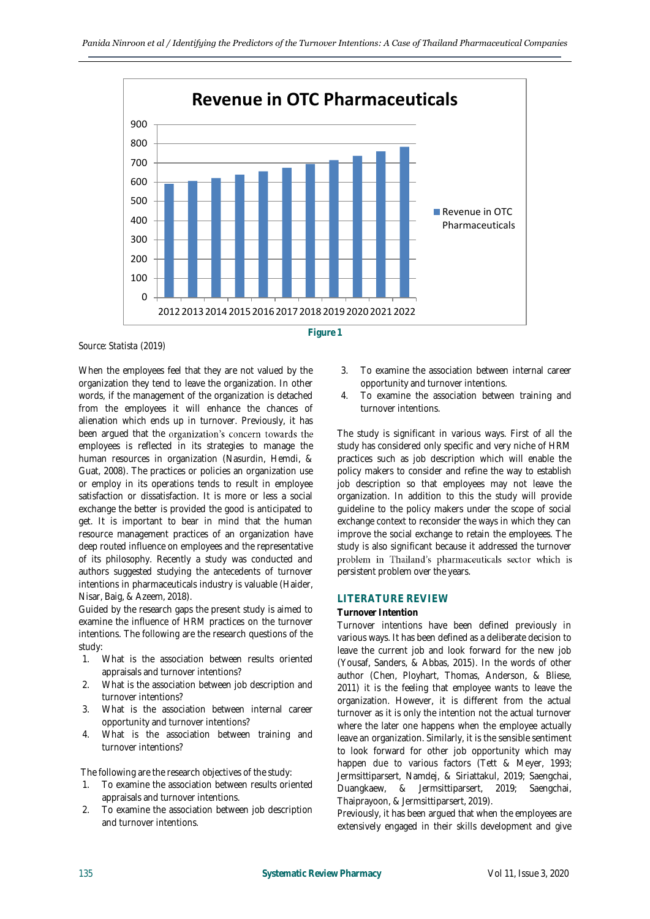

*Source: Statista (2019)*

When the employees feel that they are not valued by the organization they tend to leave the organization. In other words, if the management of the organization is detached from the employees it will enhance the chances of alienation which ends up in turnover. Previously, it has been argued that the organization's concern towards the employees is reflected in its strategies to manage the human resources in organization (Nasurdin, Hemdi, & Guat, 2008). The practices or policies an organization use or employ in its operations tends to result in employee satisfaction or dissatisfaction. It is more or less a social exchange the better is provided the good is anticipated to get. It is important to bear in mind that the human resource management practices of an organization have deep routed influence on employees and the representative of its philosophy. Recently a study was conducted and authors suggested studying the antecedents of turnover intentions in pharmaceuticals industry is valuable (Haider, Nisar, Baig, & Azeem, 2018).

Guided by the research gaps the present study is aimed to examine the influence of HRM practices on the turnover intentions. The following are the research questions of the study:

- 1. What is the association between results oriented appraisals and turnover intentions?
- 2. What is the association between job description and turnover intentions?
- 3. What is the association between internal career opportunity and turnover intentions?
- 4. What is the association between training and turnover intentions?

The following are the research objectives of the study:

- 1. To examine the association between results oriented appraisals and turnover intentions.
- 2. To examine the association between job description and turnover intentions.
- 3. To examine the association between internal career opportunity and turnover intentions.
- 4. To examine the association between training and turnover intentions.

The study is significant in various ways. First of all the study has considered only specific and very niche of HRM practices such as job description which will enable the policy makers to consider and refine the way to establish job description so that employees may not leave the organization. In addition to this the study will provide guideline to the policy makers under the scope of social exchange context to reconsider the ways in which they can improve the social exchange to retain the employees. The study is also significant because it addressed the turnover problem in Thailand's pharmaceuticals sector which is persistent problem over the years.

#### **LITERATURE REVIEW**

#### **Turnover Intention**

Turnover intentions have been defined previously in various ways. It has been defined as a deliberate decision to leave the current job and look forward for the new job (Yousaf, Sanders, & Abbas, 2015). In the words of other author (Chen, Ployhart, Thomas, Anderson, & Bliese, 2011) it is the feeling that employee wants to leave the organization. However, it is different from the actual turnover as it is only the intention not the actual turnover where the later one happens when the employee actually leave an organization. Similarly, it is the sensible sentiment to look forward for other job opportunity which may happen due to various factors (Tett & Meyer, 1993; Jermsittiparsert, Namdej, & Siriattakul, 2019; Saengchai, Duangkaew, & Jermsittiparsert, 2019; Saengchai, Thaiprayoon, & Jermsittiparsert, 2019).

Previously, it has been argued that when the employees are extensively engaged in their skills development and give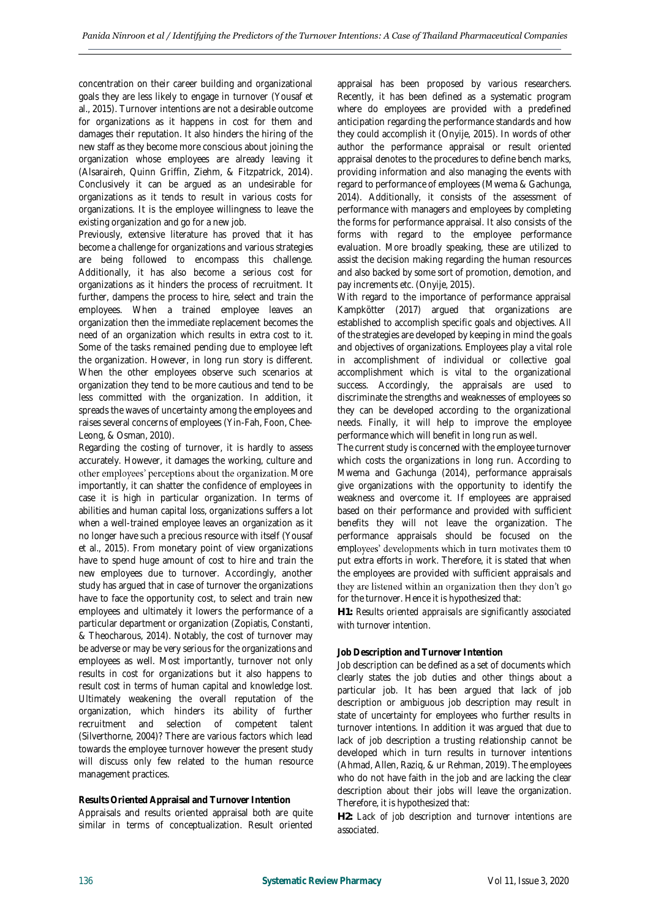concentration on their career building and organizational goals they are less likely to engage in turnover (Yousaf et al., 2015). Turnover intentions are not a desirable outcome for organizations as it happens in cost for them and damages their reputation. It also hinders the hiring of the new staff as they become more conscious about joining the organization whose employees are already leaving it (Alsaraireh, Quinn Griffin, Ziehm, & Fitzpatrick, 2014). Conclusively it can be argued as an undesirable for organizations as it tends to result in various costs for organizations. It is the employee willingness to leave the existing organization and go for a new job.

Previously, extensive literature has proved that it has become a challenge for organizations and various strategies are being followed to encompass this challenge. Additionally, it has also become a serious cost for organizations as it hinders the process of recruitment. It further, dampens the process to hire, select and train the employees. When a trained employee leaves an organization then the immediate replacement becomes the need of an organization which results in extra cost to it. Some of the tasks remained pending due to employee left the organization. However, in long run story is different. When the other employees observe such scenarios at organization they tend to be more cautious and tend to be less committed with the organization. In addition, it spreads the waves of uncertainty among the employees and raises several concerns of employees (Yin-Fah, Foon, Chee-Leong, & Osman, 2010).

Regarding the costing of turnover, it is hardly to assess accurately. However, it damages the working, culture and other employees' perceptions about the organization. More importantly, it can shatter the confidence of employees in case it is high in particular organization. In terms of abilities and human capital loss, organizations suffers a lot when a well-trained employee leaves an organization as it no longer have such a precious resource with itself (Yousaf et al., 2015). From monetary point of view organizations have to spend huge amount of cost to hire and train the new employees due to turnover. Accordingly, another study has argued that in case of turnover the organizations have to face the opportunity cost, to select and train new employees and ultimately it lowers the performance of a particular department or organization (Zopiatis, Constanti, & Theocharous, 2014). Notably, the cost of turnover may be adverse or may be very serious for the organizations and employees as well. Most importantly, turnover not only results in cost for organizations but it also happens to result cost in terms of human capital and knowledge lost. Ultimately weakening the overall reputation of the organization, which hinders its ability of further recruitment and selection of competent talent (Silverthorne, 2004)? There are various factors which lead towards the employee turnover however the present study will discuss only few related to the human resource management practices.

**Results Oriented Appraisal and Turnover Intention** Appraisals and results oriented appraisal both are quite similar in terms of conceptualization. Result oriented appraisal has been proposed by various researchers. Recently, it has been defined as a systematic program where do employees are provided with a predefined anticipation regarding the performance standards and how they could accomplish it (Onyije, 2015). In words of other author the performance appraisal or result oriented appraisal denotes to the procedures to define bench marks, providing information and also managing the events with regard to performance of employees (Mwema & Gachunga, 2014). Additionally, it consists of the assessment of performance with managers and employees by completing the forms for performance appraisal. It also consists of the forms with regard to the employee performance evaluation. More broadly speaking, these are utilized to assist the decision making regarding the human resources and also backed by some sort of promotion, demotion, and pay increments etc. (Onyije, 2015).

With regard to the importance of performance appraisal Kampkötter (2017) argued that organizations are established to accomplish specific goals and objectives. All of the strategies are developed by keeping in mind the goals and objectives of organizations. Employees play a vital role in accomplishment of individual or collective goal accomplishment which is vital to the organizational success. Accordingly, the appraisals are used to discriminate the strengths and weaknesses of employees so they can be developed according to the organizational needs. Finally, it will help to improve the employee performance which will benefit in long run as well.

The current study is concerned with the employee turnover which costs the organizations in long run. According to Mwema and Gachunga (2014), performance appraisals give organizations with the opportunity to identify the weakness and overcome it. If employees are appraised based on their performance and provided with sufficient benefits they will not leave the organization. The performance appraisals should be focused on the employees' developments which in turn motivates them to put extra efforts in work. Therefore, it is stated that when the employees are provided with sufficient appraisals and they are listened within an organization then they don't go for the turnover. Hence it is hypothesized that:

*H1: Results oriented appraisals are significantly associated with turnover intention.*

## **Job Description and Turnover Intention**

Job description can be defined as a set of documents which clearly states the job duties and other things about a particular job. It has been argued that lack of job description or ambiguous job description may result in state of uncertainty for employees who further results in turnover intentions. In addition it was argued that due to lack of job description a trusting relationship cannot be developed which in turn results in turnover intentions (Ahmad, Allen, Raziq, & ur Rehman, 2019). The employees who do not have faith in the job and are lacking the clear description about their jobs will leave the organization. Therefore, it is hypothesized that:

*H2: Lack of job description and turnover intentions are associated.*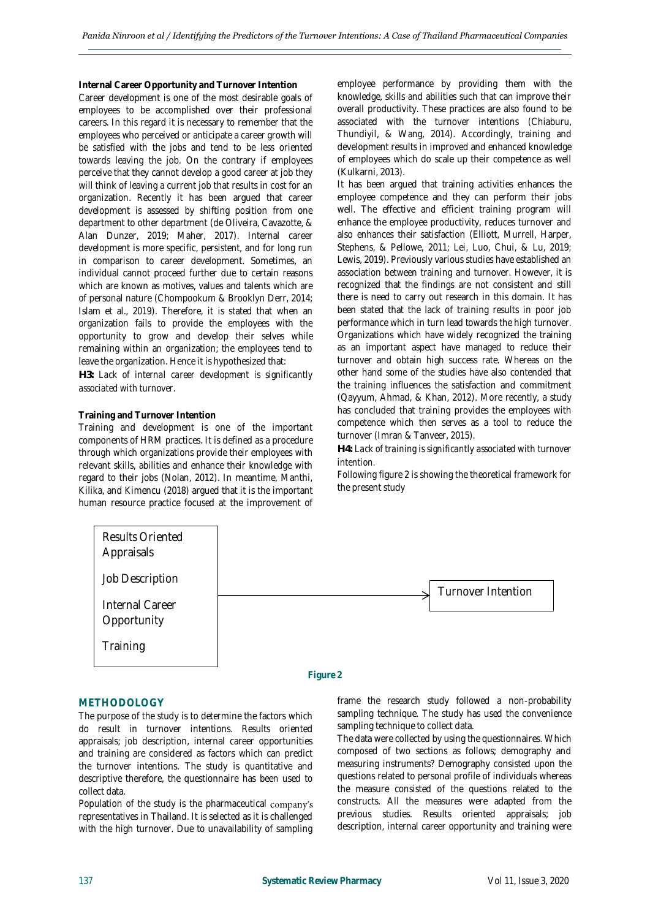**Internal Career Opportunity and Turnover Intention**

Career development is one of the most desirable goals of employees to be accomplished over their professional careers. In this regard it is necessary to remember that the employees who perceived or anticipate a career growth will be satisfied with the jobs and tend to be less oriented towards leaving the job. On the contrary if employees perceive that they cannot develop a good career at job they will think of leaving a current job that results in cost for an organization. Recently it has been argued that career development is assessed by shifting position from one department to other department (de Oliveira, Cavazotte, & Alan Dunzer, 2019; Maher, 2017). Internal career development is more specific, persistent, and for long run in comparison to career development. Sometimes, an individual cannot proceed further due to certain reasons which are known as motives, values and talents which are of personal nature (Chompookum & Brooklyn Derr, 2014; Islam et al., 2019). Therefore, it is stated that when an organization fails to provide the employees with the opportunity to grow and develop their selves while remaining within an organization; the employees tend to leave the organization. Hence it is hypothesized that:

*H3: Lack of internal career development is significantly associated with turnover.*

### **Training and Turnover Intention**

Training and development is one of the important components of HRM practices. It is defined as a procedure through which organizations provide their employees with relevant skills, abilities and enhance their knowledge with regard to their jobs (Nolan, 2012). In meantime, Manthi, Kilika, and Kimencu (2018) argued that it is the important human resource practice focused at the improvement of employee performance by providing them with the knowledge, skills and abilities such that can improve their overall productivity. These practices are also found to be associated with the turnover intentions (Chiaburu, Thundiyil, & Wang, 2014). Accordingly, training and development results in improved and enhanced knowledge of employees which do scale up their competence as well (Kulkarni, 2013).

It has been argued that training activities enhances the employee competence and they can perform their jobs well. The effective and efficient training program will enhance the employee productivity, reduces turnover and also enhances their satisfaction (Elliott, Murrell, Harper, Stephens, & Pellowe, 2011; Lei, Luo, Chui, & Lu, 2019; Lewis, 2019). Previously various studies have established an association between training and turnover. However, it is recognized that the findings are not consistent and still there is need to carry out research in this domain. It has been stated that the lack of training results in poor job performance which in turn lead towards the high turnover. Organizations which have widely recognized the training as an important aspect have managed to reduce their turnover and obtain high success rate. Whereas on the other hand some of the studies have also contended that the training influences the satisfaction and commitment (Qayyum, Ahmad, & Khan, 2012). More recently, a study has concluded that training provides the employees with competence which then serves as a tool to reduce the turnover (Imran & Tanveer, 2015).

*H4: Lack of training is significantly associated with turnover intention.*

Following figure 2 is showing the theoretical framework for the present study



#### **METHODOLOGY**

The purpose of the study is to determine the factors which do result in turnover intentions. Results oriented appraisals; job description, internal career opportunities and training are considered as factors which can predict the turnover intentions. The study is quantitative and descriptive therefore, the questionnaire has been used to collect data.

Population of the study is the pharmaceutical company's representatives in Thailand. It is selected as it is challenged with the high turnover. Due to unavailability of sampling frame the research study followed a non-probability sampling technique. The study has used the convenience sampling technique to collect data.

The data were collected by using the questionnaires. Which composed of two sections as follows; demography and measuring instruments? Demography consisted upon the questions related to personal profile of individuals whereas the measure consisted of the questions related to the constructs. All the measures were adapted from the previous studies. Results oriented appraisals; job description, internal career opportunity and training were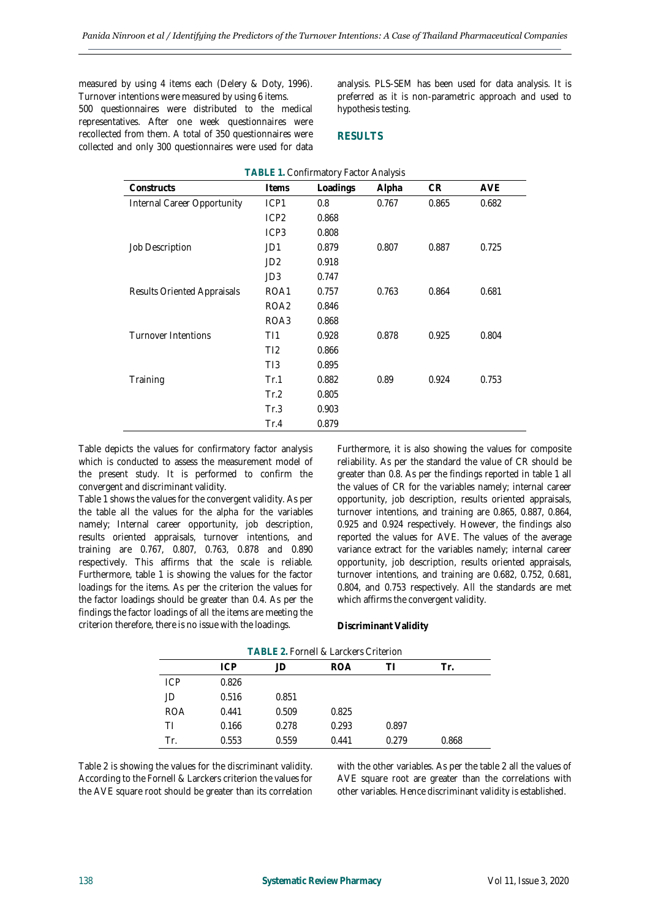measured by using 4 items each (Delery & Doty, 1996). Turnover intentions were measured by using 6 items.

500 questionnaires were distributed to the medical representatives. After one week questionnaires were recollected from them. A total of 350 questionnaires were collected and only 300 questionnaires were used for data analysis. PLS-SEM has been used for data analysis. It is preferred as it is non-parametric approach and used to hypothesis testing.

## **RESULTS**

| TABLE 1. Confirmatory Factor Analysis |                  |          |       |       |            |
|---------------------------------------|------------------|----------|-------|-------|------------|
| Constructs                            | Items            | Loadings | Alpha | CR.   | <b>AVE</b> |
| Internal Career Opportunity           | ICP1             | 0.8      | 0.767 | 0.865 | 0.682      |
|                                       | ICP <sub>2</sub> | 0.868    |       |       |            |
|                                       | ICP <sub>3</sub> | 0.808    |       |       |            |
| Job Description                       | JD1              | 0.879    | 0.807 | 0.887 | 0.725      |
|                                       | JD <sub>2</sub>  | 0.918    |       |       |            |
|                                       | JD3              | 0.747    |       |       |            |
| Results Oriented Appraisals           | ROA1             | 0.757    | 0.763 | 0.864 | 0.681      |
|                                       | ROA <sub>2</sub> | 0.846    |       |       |            |
|                                       | ROA3             | 0.868    |       |       |            |
| Turnover Intentions                   | T11              | 0.928    | 0.878 | 0.925 | 0.804      |
|                                       | T <sub>12</sub>  | 0.866    |       |       |            |
|                                       | TI3              | 0.895    |       |       |            |
| Training                              | Tr.1             | 0.882    | 0.89  | 0.924 | 0.753      |
|                                       | Tr.2             | 0.805    |       |       |            |
|                                       | Tr.3             | 0.903    |       |       |            |
|                                       | Tr.4             | 0.879    |       |       |            |

Table depicts the values for confirmatory factor analysis which is conducted to assess the measurement model of the present study. It is performed to confirm the convergent and discriminant validity.

Table 1 shows the values for the convergent validity. As per the table all the values for the alpha for the variables namely; Internal career opportunity, job description, results oriented appraisals, turnover intentions, and training are 0.767, 0.807, 0.763, 0.878 and 0.890 respectively. This affirms that the scale is reliable. Furthermore, table 1 is showing the values for the factor loadings for the items. As per the criterion the values for the factor loadings should be greater than 0.4. As per the findings the factor loadings of all the items are meeting the criterion therefore, there is no issue with the loadings.

Furthermore, it is also showing the values for composite reliability. As per the standard the value of CR should be greater than 0.8. As per the findings reported in table 1 all the values of CR for the variables namely; internal career opportunity, job description, results oriented appraisals, turnover intentions, and training are 0.865, 0.887, 0.864, 0.925 and 0.924 respectively. However, the findings also reported the values for AVE. The values of the average variance extract for the variables namely; internal career opportunity, job description, results oriented appraisals, turnover intentions, and training are 0.682, 0.752, 0.681, 0.804, and 0.753 respectively. All the standards are met which affirms the convergent validity.

## **Discriminant Validity**

| TABLE 2. FOMMEIL& LANCKERS UNTERTION |            |       |            |       |       |  |
|--------------------------------------|------------|-------|------------|-------|-------|--|
|                                      | <b>ICP</b> | JD    | <b>ROA</b> |       | Tr.   |  |
| <b>ICP</b>                           | 0.826      |       |            |       |       |  |
| JD                                   | 0.516      | 0.851 |            |       |       |  |
| <b>ROA</b>                           | 0.441      | 0.509 | 0.825      |       |       |  |
| ΤI                                   | 0.166      | 0.278 | 0.293      | 0.897 |       |  |
| Tr.                                  | 0.553      | 0.559 | 0.441      | 0.279 | 0.868 |  |

**TABLE 2.** Fornell & Larckers Criterion

Table 2 is showing the values for the discriminant validity. According to the Fornell & Larckers criterion the values for the AVE square root should be greater than its correlation with the other variables. As per the table 2 all the values of AVE square root are greater than the correlations with other variables. Hence discriminant validity is established.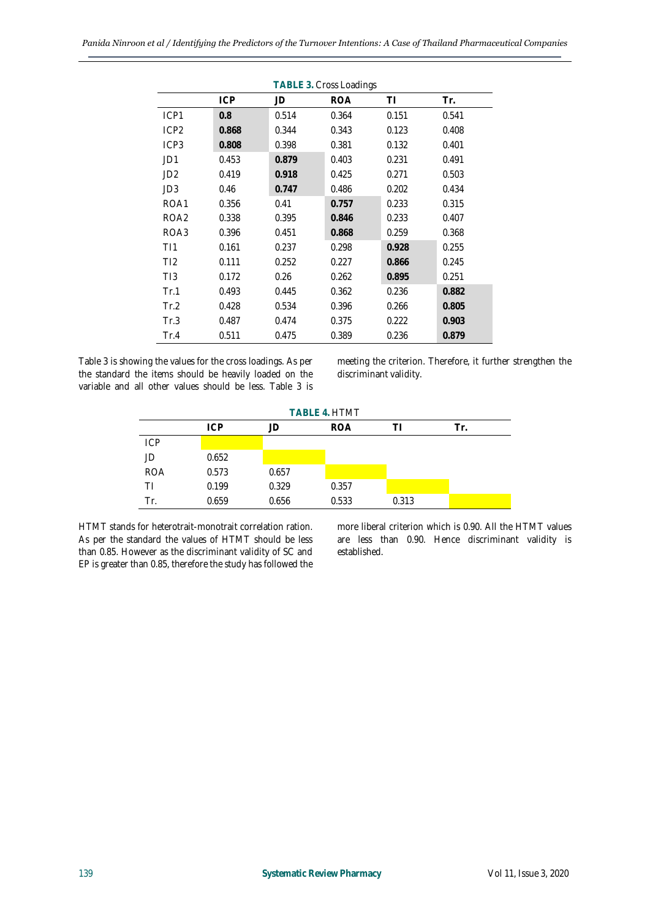| <b>TABLE 3. Cross Loadings</b> |            |       |            |       |       |  |
|--------------------------------|------------|-------|------------|-------|-------|--|
|                                | <b>ICP</b> | JD    | <b>ROA</b> | ΤI    | Tr.   |  |
| ICP1                           | 0.8        | 0.514 | 0.364      | 0.151 | 0.541 |  |
| ICP <sub>2</sub>               | 0.868      | 0.344 | 0.343      | 0.123 | 0.408 |  |
| ICP <sub>3</sub>               | 0.808      | 0.398 | 0.381      | 0.132 | 0.401 |  |
| JD1                            | 0.453      | 0.879 | 0.403      | 0.231 | 0.491 |  |
| JD <sub>2</sub>                | 0.419      | 0.918 | 0.425      | 0.271 | 0.503 |  |
| JD <sub>3</sub>                | 0.46       | 0.747 | 0.486      | 0.202 | 0.434 |  |
| ROA1                           | 0.356      | 0.41  | 0.757      | 0.233 | 0.315 |  |
| ROA <sub>2</sub>               | 0.338      | 0.395 | 0.846      | 0.233 | 0.407 |  |
| ROA3                           | 0.396      | 0.451 | 0.868      | 0.259 | 0.368 |  |
| T11                            | 0.161      | 0.237 | 0.298      | 0.928 | 0.255 |  |
| TI2                            | 0.111      | 0.252 | 0.227      | 0.866 | 0.245 |  |
| TI3                            | 0.172      | 0.26  | 0.262      | 0.895 | 0.251 |  |
| Tr.1                           | 0.493      | 0.445 | 0.362      | 0.236 | 0.882 |  |
| Tr.2                           | 0.428      | 0.534 | 0.396      | 0.266 | 0.805 |  |
| Tr.3                           | 0.487      | 0.474 | 0.375      | 0.222 | 0.903 |  |
| Tr.4                           | 0.511      | 0.475 | 0.389      | 0.236 | 0.879 |  |

Table 3 is showing the values for the cross loadings. As per the standard the items should be heavily loaded on the variable and all other values should be less. Table 3 is meeting the criterion. Therefore, it further strengthen the discriminant validity.

| TABLE 4. HTMT |            |       |            |       |     |  |
|---------------|------------|-------|------------|-------|-----|--|
|               | <b>ICP</b> | JD    | <b>ROA</b> |       | Tr. |  |
| ICP           |            |       |            |       |     |  |
| JD            | 0.652      |       |            |       |     |  |
| <b>ROA</b>    | 0.573      | 0.657 |            |       |     |  |
| ΤI            | 0.199      | 0.329 | 0.357      |       |     |  |
| Tr.           | 0.659      | 0.656 | 0.533      | 0.313 |     |  |

HTMT stands for heterotrait-monotrait correlation ration. As per the standard the values of HTMT should be less than 0.85. However as the discriminant validity of SC and EP is greater than 0.85, therefore the study has followed the more liberal criterion which is 0.90. All the HTMT values are less than 0.90. Hence discriminant validity is established.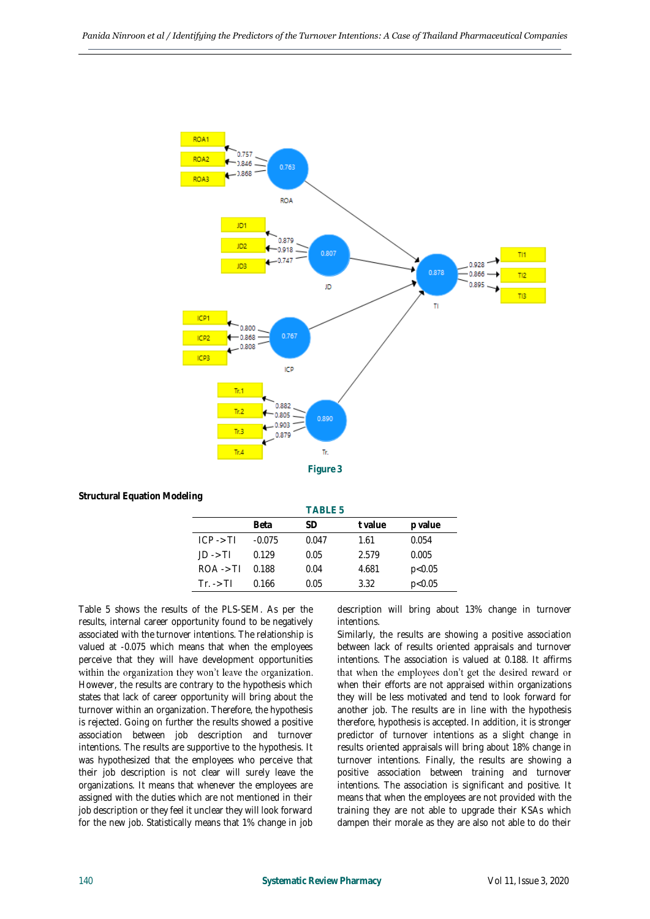

**Structural Equation Modeling**

|                      |          | TABLE 5 |         |         |
|----------------------|----------|---------|---------|---------|
|                      | Beta     | SD      | t value | p value |
| $ICP \rightarrow TI$ | $-0.075$ | 0.047   | 1.61    | 0.054   |
| $ID \rightarrow TI$  | 0.129    | 0.05    | 2.579   | 0.005   |
| $ROA \rightarrow TI$ | 0.188    | 0.04    | 4.681   | p<0.05  |
| $Tr. \rightarrow TI$ | 0.166    | 0.05    | 3.32    | p<0.05  |

Table 5 shows the results of the PLS-SEM. As per the results, internal career opportunity found to be negatively associated with the turnover intentions. The relationship is valued at -0.075 which means that when the employees perceive that they will have development opportunities within the organization they won't leave the organization. However, the results are contrary to the hypothesis which states that lack of career opportunity will bring about the turnover within an organization. Therefore, the hypothesis is rejected. Going on further the results showed a positive association between job description and turnover intentions. The results are supportive to the hypothesis. It was hypothesized that the employees who perceive that their job description is not clear will surely leave the organizations. It means that whenever the employees are assigned with the duties which are not mentioned in their job description or they feel it unclear they will look forward for the new job. Statistically means that 1% change in job

description will bring about 13% change in turnover intentions.

Similarly, the results are showing a positive association between lack of results oriented appraisals and turnover intentions. The association is valued at 0.188. It affirms that when the employees don't get the desired reward or when their efforts are not appraised within organizations they will be less motivated and tend to look forward for another job. The results are in line with the hypothesis therefore, hypothesis is accepted. In addition, it is stronger predictor of turnover intentions as a slight change in results oriented appraisals will bring about 18% change in turnover intentions. Finally, the results are showing a positive association between training and turnover intentions. The association is significant and positive. It means that when the employees are not provided with the training they are not able to upgrade their KSAs which dampen their morale as they are also not able to do their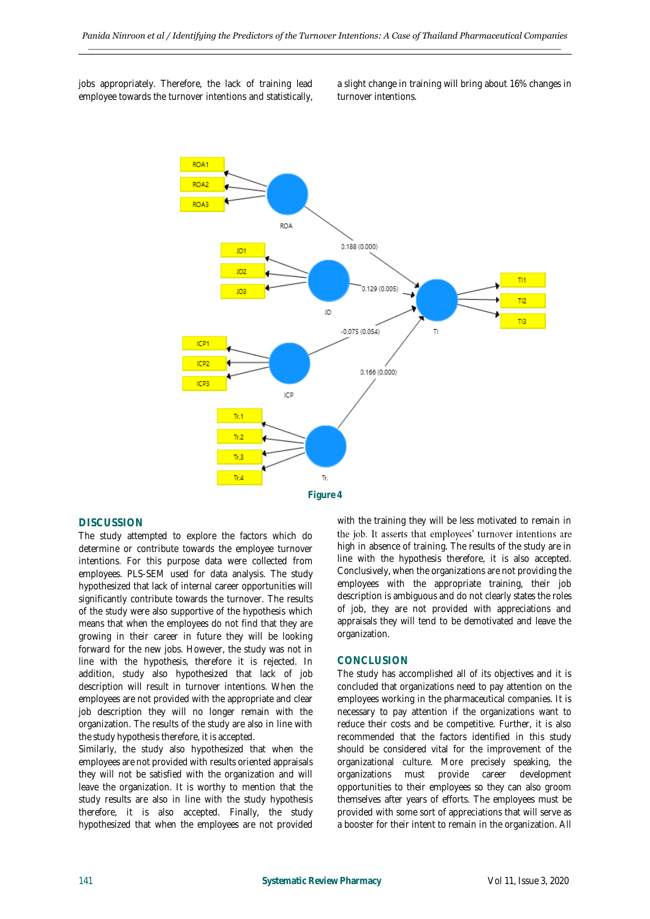jobs appropriately. Therefore, the lack of training lead employee towards the turnover intentions and statistically, a slight change in training will bring about 16% changes in turnover intentions.



#### **DISCUSSION**

The study attempted to explore the factors which do determine or contribute towards the employee turnover intentions. For this purpose data were collected from employees. PLS-SEM used for data analysis. The study hypothesized that lack of internal career opportunities will significantly contribute towards the turnover. The results of the study were also supportive of the hypothesis which means that when the employees do not find that they are growing in their career in future they will be looking forward for the new jobs. However, the study was not in line with the hypothesis, therefore it is rejected. In addition, study also hypothesized that lack of job description will result in turnover intentions. When the employees are not provided with the appropriate and clear job description they will no longer remain with the organization. The results of the study are also in line with the study hypothesis therefore, it is accepted.

Similarly, the study also hypothesized that when the employees are not provided with results oriented appraisals they will not be satisfied with the organization and will leave the organization. It is worthy to mention that the study results are also in line with the study hypothesis therefore, it is also accepted. Finally, the study hypothesized that when the employees are not provided

with the training they will be less motivated to remain in the job. It asserts that employees' turnover intentions are high in absence of training. The results of the study are in line with the hypothesis therefore, it is also accepted. Conclusively, when the organizations are not providing the employees with the appropriate training, their job description is ambiguous and do not clearly states the roles of job, they are not provided with appreciations and appraisals they will tend to be demotivated and leave the organization.

#### **CONCLUSION**

The study has accomplished all of its objectives and it is concluded that organizations need to pay attention on the employees working in the pharmaceutical companies. It is necessary to pay attention if the organizations want to reduce their costs and be competitive. Further, it is also recommended that the factors identified in this study should be considered vital for the improvement of the organizational culture. More precisely speaking, the organizations must provide career development opportunities to their employees so they can also groom themselves after years of efforts. The employees must be provided with some sort of appreciations that will serve as a booster for their intent to remain in the organization. All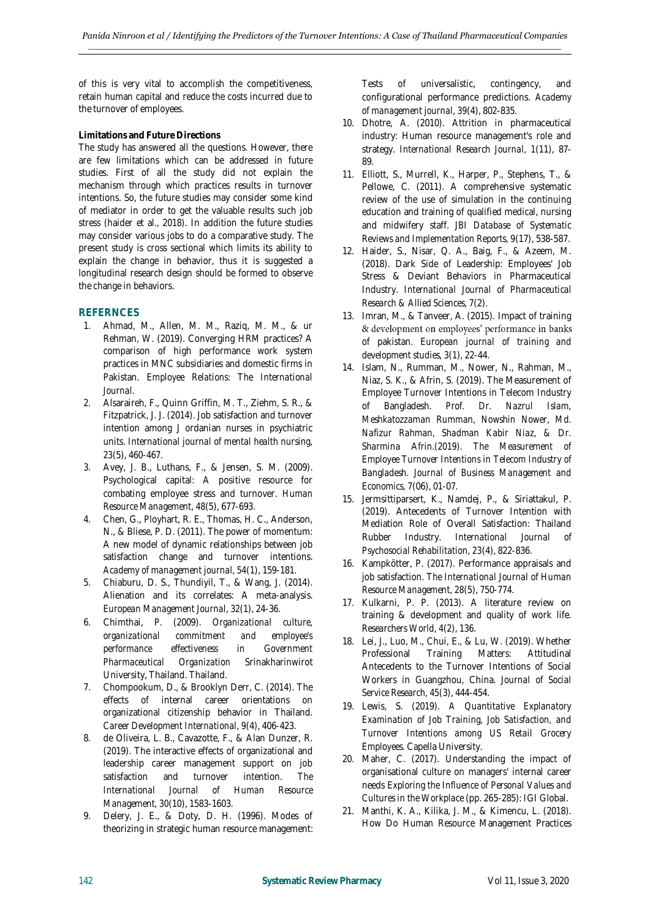of this is very vital to accomplish the competitiveness, retain human capital and reduce the costs incurred due to the turnover of employees.

## **Limitations and Future Directions**

The study has answered all the questions. However, there are few limitations which can be addressed in future studies. First of all the study did not explain the mechanism through which practices results in turnover intentions. So, the future studies may consider some kind of mediator in order to get the valuable results such job stress (haider et al., 2018). In addition the future studies may consider various jobs to do a comparative study. The present study is cross sectional which limits its ability to explain the change in behavior, thus it is suggested a longitudinal research design should be formed to observe the change in behaviors.

## **REFERNCES**

- 1. Ahmad, M., Allen, M. M., Raziq, M. M., & ur Rehman, W. (2019). Converging HRM practices? A comparison of high performance work system practices in MNC subsidiaries and domestic firms in Pakistan. *Employee Relations: The International Journal*.
- 2. Alsaraireh, F., Quinn Griffin, M. T., Ziehm, S. R., & Fitzpatrick, J. J. (2014). Job satisfaction and turnover intention among J ordanian nurses in psychiatric units. *International journal of mental health nursing, 23*(5), 460-467.
- 3. Avey, J. B., Luthans, F., & Jensen, S. M. (2009). Psychological capital: A positive resource for combating employee stress and turnover. *Human Resource Management, 48*(5), 677-693.
- 4. Chen, G., Ployhart, R. E., Thomas, H. C., Anderson, N., & Bliese, P. D. (2011). The power of momentum: A new model of dynamic relationships between job satisfaction change and turnover intentions. *Academy of management journal, 54*(1), 159-181.
- 5. Chiaburu, D. S., Thundiyil, T., & Wang, J. (2014). Alienation and its correlates: A meta-analysis. *European Management Journal, 32*(1), 24-36.
- 6. Chimthai, P. (2009). *Organizational culture, organizational commitment and employee's performance effectiveness in Government Pharmaceutical Organization* Srinakharinwirot University, Thailand. Thailand.
- 7. Chompookum, D., & Brooklyn Derr, C. (2014). The effects of internal career orientations on organizational citizenship behavior in Thailand. *Career Development International, 9*(4), 406-423.
- 8. de Oliveira, L. B., Cavazotte, F., & Alan Dunzer, R. (2019). The interactive effects of organizational and leadership career management support on job satisfaction and turnover intention. *The International Journal of Human Resource Management, 30*(10), 1583-1603.
- 9. Delery, J. E., & Doty, D. H. (1996). Modes of theorizing in strategic human resource management:

Tests of universalistic, contingency, and configurational performance predictions. *Academy of management journal, 39*(4), 802-835.

- 10. Dhotre, A. (2010). Attrition in pharmaceutical industry: Human resource management's role and strategy. *International Research Journal, 1*(11), 87- 89.
- 11. Elliott, S., Murrell, K., Harper, P., Stephens, T., & Pellowe, C. (2011). A comprehensive systematic review of the use of simulation in the continuing education and training of qualified medical, nursing and midwifery staff. *JBI Database of Systematic Reviews and Implementation Reports, 9*(17), 538-587.
- 12. Haider, S., Nisar, Q. A., Baig, F., & Azeem, M. (2018). Dark Side of Leadership: Employees' Job Stress & Deviant Behaviors in Pharmaceutical Industry. *International Journal of Pharmaceutical Research & Allied Sciences, 7*(2).
- 13. Imran, M., & Tanveer, A. (2015). Impact of training & development on employees' performance in banks of pakistan. *European journal of training and development studies, 3*(1), 22-44.
- 14. Islam, N., Rumman, M., Nower, N., Rahman, M., Niaz, S. K., & Afrin, S. (2019). The Measurement of Employee Turnover Intentions in Telecom Industry of Bangladesh. *Prof. Dr. Nazrul Islam, Meshkatozzaman Rumman, Nowshin Nower, Md. Nafizur Rahman, Shadman Kabir Niaz, & Dr. Sharmina Afrin.(2019). The Measurement of Employee Turnover Intentions in Telecom Industry of Bangladesh. Journal of Business Management and Economics, 7*(06), 01-07.
- 15. Jermsittiparsert, K., Namdej, P., & Siriattakul, P. (2019). Antecedents of Turnover Intention with Mediation Role of Overall Satisfaction: Thailand Rubber Industry. *International Journal of Psychosocial Rehabilitation, 23*(4), 822-836.
- 16. Kampkötter, P. (2017). Performance appraisals and job satisfaction. *The International Journal of Human Resource Management, 28*(5), 750-774.
- 17. Kulkarni, P. P. (2013). A literature review on training & development and quality of work life. *Researchers World, 4*(2), 136.
- 18. Lei, J., Luo, M., Chui, E., & Lu, W. (2019). Whether Professional Training Matters: Attitudinal Antecedents to the Turnover Intentions of Social Workers in Guangzhou, China. *Journal of Social Service Research, 45*(3), 444-454.
- 19. Lewis, S. (2019). *A Quantitative Explanatory Examination of Job Training, Job Satisfaction, and Turnover Intentions among US Retail Grocery Employees.* Capella University.
- 20. Maher, C. (2017). Understanding the impact of organisational culture on managers' internal career needs *Exploring the Influence of Personal Values and Cultures in the Workplace* (pp. 265-285): IGI Global.
- 21. Manthi, K. A., Kilika, J. M., & Kimencu, L. (2018). How Do Human Resource Management Practices